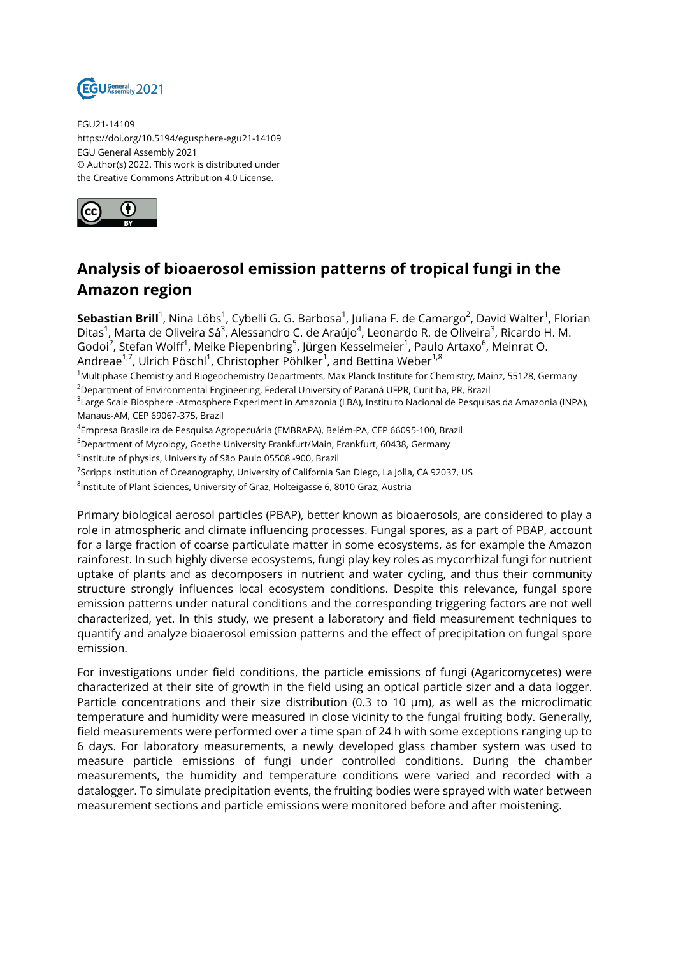

EGU21-14109 https://doi.org/10.5194/egusphere-egu21-14109 EGU General Assembly 2021 © Author(s) 2022. This work is distributed under the Creative Commons Attribution 4.0 License.



## **Analysis of bioaerosol emission patterns of tropical fungi in the Amazon region**

**Sebastian Brill**<sup>1</sup>, Nina Löbs<sup>1</sup>, Cybelli G. G. Barbosa<sup>1</sup>, Juliana F. de Camargo<sup>2</sup>, David Walter<sup>1</sup>, Florian Ditas<sup>1</sup>, Marta de Oliveira Sá<sup>3</sup>, Alessandro C. de Araújo<sup>4</sup>, Leonardo R. de Oliveira<sup>3</sup>, Ricardo H. M. Godoi<sup>2</sup>, Stefan Wolff<sup>1</sup>, Meike Piepenbring<sup>5</sup>, Jürgen Kesselmeier<sup>1</sup>, Paulo Artaxo<sup>6</sup>, Meinrat O. Andreae $^{1,7}$ , Ulrich Pöschl $^1$ , Christopher Pöhlker $^1$ , and Bettina Weber $^{1,8}$ 

<sup>1</sup>Multiphase Chemistry and Biogeochemistry Departments, Max Planck Institute for Chemistry, Mainz, 55128, Germany <sup>2</sup>Department of Environmental Engineering, Federal University of Paraná UFPR, Curitiba, PR, Brazil

3 Large Scale Biosphere -Atmosphere Experiment in Amazonia (LBA), Institu to Nacional de Pesquisas da Amazonia (INPA), Manaus-AM, CEP 69067-375, Brazil

4 Empresa Brasileira de Pesquisa Agropecuária (EMBRAPA), Belém-PA, CEP 66095-100, Brazil

<sup>5</sup>Department of Mycology, Goethe University Frankfurt/Main, Frankfurt, 60438, Germany

6 Institute of physics, University of São Paulo 05508 -900, Brazil

<sup>7</sup>Scripps Institution of Oceanography, University of California San Diego, La Jolla, CA 92037, US

 $^8$ Institute of Plant Sciences, University of Graz, Holteigasse 6, 8010 Graz, Austria

Primary biological aerosol particles (PBAP), better known as bioaerosols, are considered to play a role in atmospheric and climate influencing processes. Fungal spores, as a part of PBAP, account for a large fraction of coarse particulate matter in some ecosystems, as for example the Amazon rainforest. In such highly diverse ecosystems, fungi play key roles as mycorrhizal fungi for nutrient uptake of plants and as decomposers in nutrient and water cycling, and thus their community structure strongly influences local ecosystem conditions. Despite this relevance, fungal spore emission patterns under natural conditions and the corresponding triggering factors are not well characterized, yet. In this study, we present a laboratory and field measurement techniques to quantify and analyze bioaerosol emission patterns and the effect of precipitation on fungal spore emission.

For investigations under field conditions, the particle emissions of fungi (Agaricomycetes) were characterized at their site of growth in the field using an optical particle sizer and a data logger. Particle concentrations and their size distribution (0.3 to 10 µm), as well as the microclimatic temperature and humidity were measured in close vicinity to the fungal fruiting body. Generally, field measurements were performed over a time span of 24 h with some exceptions ranging up to 6 days. For laboratory measurements, a newly developed glass chamber system was used to measure particle emissions of fungi under controlled conditions. During the chamber measurements, the humidity and temperature conditions were varied and recorded with a datalogger. To simulate precipitation events, the fruiting bodies were sprayed with water between measurement sections and particle emissions were monitored before and after moistening.